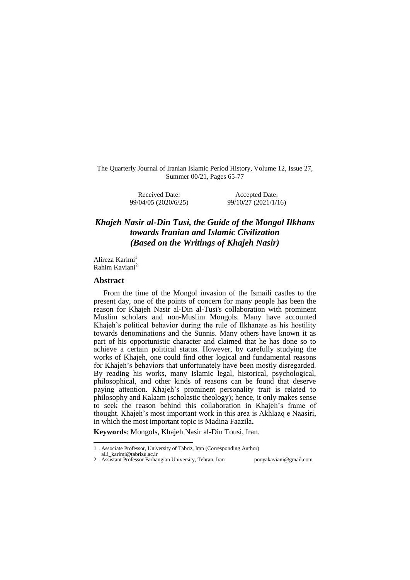The Quarterly Journal of Iranian Islamic Period History, Volume 12, Issue 27, Summer 00/21, Pages 65-77

> Received Date: 99/04/05 (2020/6/25)

Accepted Date: 99/10/27 (2021/1/16)

# *Khajeh Nasir al-Din Tusi, the Guide of the Mongol Ilkhans towards Iranian and Islamic Civilization (Based on the Writings of Khajeh Nasir)*

Alireza Karimi<sup>1</sup> Rahim Kaviani<sup>2</sup>

#### **Abstract**

From the time of the Mongol invasion of the Ismaili castles to the present day, one of the points of concern for many people has been the reason for Khajeh Nasir al-Din al-Tusi's collaboration with prominent Muslim scholars and non-Muslim Mongols. Many have accounted Khajeh's political behavior during the rule of Ilkhanate as his hostility towards denominations and the Sunnis. Many others have known it as part of his opportunistic character and claimed that he has done so to achieve a certain political status. However, by carefully studying the works of Khajeh, one could find other logical and fundamental reasons for Khajeh's behaviors that unfortunately have been mostly disregarded. By reading his works, many Islamic legal, historical, psychological, philosophical, and other kinds of reasons can be found that deserve paying attention. Khajeh's prominent personality trait is related to philosophy and Kalaam (scholastic theology); hence, it only makes sense to seek the reason behind this collaboration in Khajeh's frame of thought. Khajeh's most important work in this area is Akhlaaq e Naasiri, in which the most important topic is Madina Faazila**.**

**Keywords**: Mongols, Khajeh Nasir al-Din Tousi, Iran.

 $\overline{a}$ 

<sup>1</sup> . Associate Professor, University of Tabriz, Iran (Corresponding Author)

aLi\_karimi@tabrizu.ac.ir

<sup>2</sup> . Assistant Professor Farhangian University, Tehran, Iran pooyakaviani@gmail.com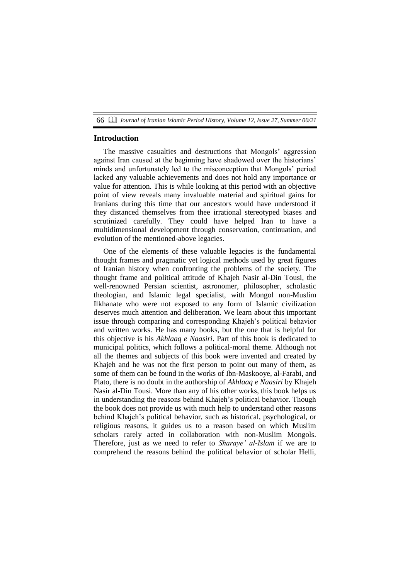#### **Introduction**

The massive casualties and destructions that Mongols' aggression against Iran caused at the beginning have shadowed over the historians' minds and unfortunately led to the misconception that Mongols' period lacked any valuable achievements and does not hold any importance or value for attention. This is while looking at this period with an objective point of view reveals many invaluable material and spiritual gains for Iranians during this time that our ancestors would have understood if they distanced themselves from thee irrational stereotyped biases and scrutinized carefully. They could have helped Iran to have a multidimensional development through conservation, continuation, and evolution of the mentioned-above legacies.

One of the elements of these valuable legacies is the fundamental thought frames and pragmatic yet logical methods used by great figures of Iranian history when confronting the problems of the society. The thought frame and political attitude of Khajeh Nasir al-Din Tousi, the well-renowned Persian scientist, astronomer, philosopher, scholastic theologian, and Islamic legal specialist, with Mongol non-Muslim Ilkhanate who were not exposed to any form of Islamic civilization deserves much attention and deliberation. We learn about this important issue through comparing and corresponding Khajeh's political behavior and written works. He has many books, but the one that is helpful for this objective is his *Akhlaaq e Naasiri*. Part of this book is dedicated to municipal politics, which follows a political-moral theme. Although not all the themes and subjects of this book were invented and created by Khajeh and he was not the first person to point out many of them, as some of them can be found in the works of Ibn-Maskooye, al-Farabi, and Plato, there is no doubt in the authorship of *Akhlaaq e Naasiri* by Khajeh Nasir al-Din Tousi. More than any of his other works, this book helps us in understanding the reasons behind Khajeh's political behavior. Though the book does not provide us with much help to understand other reasons behind Khajeh's political behavior, such as historical, psychological, or religious reasons, it guides us to a reason based on which Muslim scholars rarely acted in collaboration with non-Muslim Mongols. Therefore, just as we need to refer to *Sharaye' al-Islam* if we are to comprehend the reasons behind the political behavior of scholar Helli,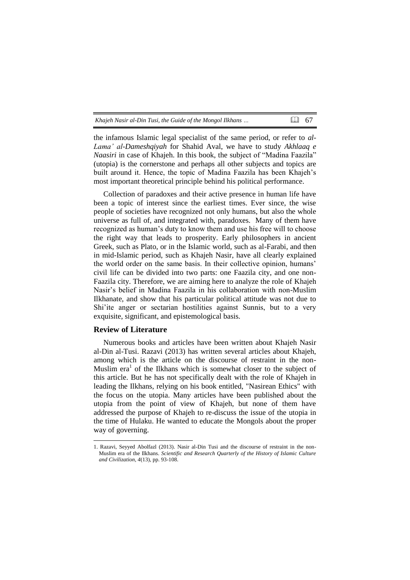| Khajeh Nasir al-Din Tusi, the Guide of the Mongol Ilkhans | $\Box$ 67 |  |
|-----------------------------------------------------------|-----------|--|
|-----------------------------------------------------------|-----------|--|

the infamous Islamic legal specialist of the same period, or refer to *al-Lama' al-Dameshqiyah* for Shahid Aval, we have to study *Akhlaaq e Naasiri* in case of Khajeh. In this book, the subject of "Madina Faazila" (utopia) is the cornerstone and perhaps all other subjects and topics are built around it. Hence, the topic of Madina Faazila has been Khajeh's most important theoretical principle behind his political performance.

Collection of paradoxes and their active presence in human life have been a topic of interest since the earliest times. Ever since, the wise people of societies have recognized not only humans, but also the whole universe as full of, and integrated with, paradoxes. Many of them have recognized as human's duty to know them and use his free will to choose the right way that leads to prosperity. Early philosophers in ancient Greek, such as Plato, or in the Islamic world, such as al-Farabi, and then in mid-Islamic period, such as Khajeh Nasir, have all clearly explained the world order on the same basis. In their collective opinion, humans' civil life can be divided into two parts: one Faazila city, and one non-Faazila city. Therefore, we are aiming here to analyze the role of Khajeh Nasir's belief in Madina Faazila in his collaboration with non-Muslim Ilkhanate, and show that his particular political attitude was not due to Shi'ite anger or sectarian hostilities against Sunnis, but to a very exquisite, significant, and epistemological basis.

### **Review of Literature**

-

Numerous books and articles have been written about Khajeh Nasir al-Din al-Tusi. Razavi (2013) has written several articles about Khajeh, among which is the article on the discourse of restraint in the non-Muslim era<sup>1</sup> of the Ilkhans which is somewhat closer to the subject of this article. But he has not specifically dealt with the role of Khajeh in leading the Ilkhans, relying on his book entitled, "Nasirean Ethics" with the focus on the utopia. Many articles have been published about the utopia from the point of view of Khajeh, but none of them have addressed the purpose of Khajeh to re-discuss the issue of the utopia in the time of Hulaku. He wanted to educate the Mongols about the proper way of governing.

<sup>1.</sup> Razavi, Seyyed Abolfazl (2013). Nasir al-Din Tusi and the discourse of restraint in the non-Muslim era of the Ilkhans. *Scientific and Research Quarterly of the History of Islamic Culture and Civilization, 4*(13), pp. 93-108.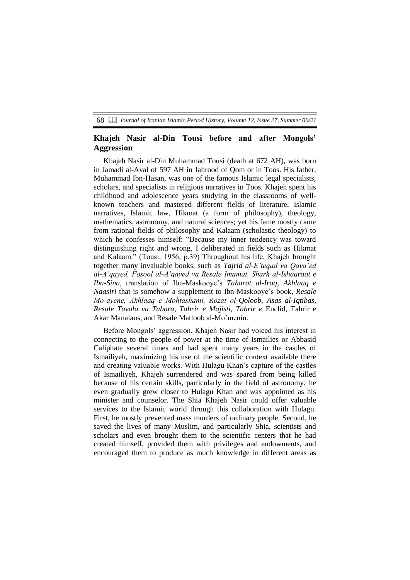### **Khajeh Nasir al-Din Tousi before and after Mongols' Aggression**

Khajeh Nasir al-Din Muhammad Tousi (death at 672 AH), was born in Jamadi al-Aval of 597 AH in Jahrood of Qom or in Toos. His father, Muhammad Ibn-Hasan, was one of the famous Islamic legal specialists, scholars, and specialists in religious narratives in Toos. Khajeh spent his childhood and adolescence years studying in the classrooms of wellknown teachers and mastered different fields of literature, Islamic narratives, Islamic law, Hikmat (a form of philosophy), theology, mathematics, astronomy, and natural sciences; yet his fame mostly came from rational fields of philosophy and Kalaam (scholastic theology) to which he confesses himself: "Because my inner tendency was toward distinguishing right and wrong, I deliberated in fields such as Hikmat and Kalaam." (Tousi, 1956, p.39) Throughout his life, Khajeh brought together many invaluable books, such as *Tajrid al-E'teqad va Qava'ed al-A'qayed, Fosool al-A'qayed va Resale Imamat, Sharh al-Ishaaraat e Ibn-Sina,* translation of Ibn-Maskooye's *Taharat al-Iraq, Akhlaaq e Naasiri* that is somehow a supplement to Ibn-Maskooye's book, *Resale Mo'ayene, Akhlaaq e Mohtashami, Rozat ol-Qoloob, Asas al-Iqtibas, Resale Tavala va Tabara, Tahrir e Majisti, Tahrir e* Euclid, Tahrir e Akar Manalaus, and Resale Matloob al-Mo'menin.

Before Mongols' aggression, Khajeh Nasir had voiced his interest in connecting to the people of power at the time of Ismailies or Abbasid Caliphate several times and had spent many years in the castles of Ismailiyeh, maximizing his use of the scientific context available there and creating valuable works. With Hulagu Khan's capture of the castles of Ismailiyeh, Khajeh surrendered and was spared from being killed because of his certain skills, particularly in the field of astronomy; he even gradually grew closer to Hulagu Khan and was appointed as his minister and counselor. The Shia Khajeh Nasir could offer valuable services to the Islamic world through this collaboration with Hulagu. First, he mostly prevented mass murders of ordinary people. Second, he saved the lives of many Muslim, and particularly Shia, scientists and scholars and even brought them to the scientific centers that he had created himself, provided them with privileges and endowments, and encouraged them to produce as much knowledge in different areas as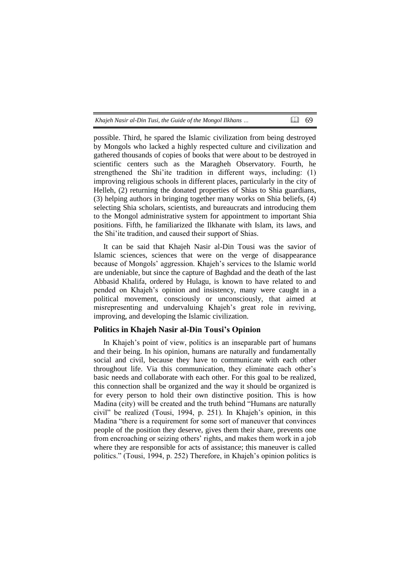| Khajeh Nasir al-Din Tusi, the Guide of the Mongol Ilkhans | 国 69 |  |
|-----------------------------------------------------------|------|--|
|-----------------------------------------------------------|------|--|

possible. Third, he spared the Islamic civilization from being destroyed by Mongols who lacked a highly respected culture and civilization and gathered thousands of copies of books that were about to be destroyed in scientific centers such as the Maragheh Observatory. Fourth, he strengthened the Shi'ite tradition in different ways, including: (1) improving religious schools in different places, particularly in the city of Helleh, (2) returning the donated properties of Shias to Shia guardians, (3) helping authors in bringing together many works on Shia beliefs, (4) selecting Shia scholars, scientists, and bureaucrats and introducing them to the Mongol administrative system for appointment to important Shia positions. Fifth, he familiarized the Ilkhanate with Islam, its laws, and the Shi'ite tradition, and caused their support of Shias.

It can be said that Khajeh Nasir al-Din Tousi was the savior of Islamic sciences, sciences that were on the verge of disappearance because of Mongols' aggression. Khajeh's services to the Islamic world are undeniable, but since the capture of Baghdad and the death of the last Abbasid Khalifa, ordered by Hulagu, is known to have related to and pended on Khajeh's opinion and insistency, many were caught in a political movement, consciously or unconsciously, that aimed at misrepresenting and undervaluing Khajeh's great role in reviving, improving, and developing the Islamic civilization.

### **Politics in Khajeh Nasir al-Din Tousi's Opinion**

In Khajeh's point of view, politics is an inseparable part of humans and their being. In his opinion, humans are naturally and fundamentally social and civil, because they have to communicate with each other throughout life. Via this communication, they eliminate each other's basic needs and collaborate with each other. For this goal to be realized, this connection shall be organized and the way it should be organized is for every person to hold their own distinctive position. This is how Madina (city) will be created and the truth behind "Humans are naturally civil" be realized (Tousi, 1994, p. 251). In Khajeh's opinion, in this Madina "there is a requirement for some sort of maneuver that convinces people of the position they deserve, gives them their share, prevents one from encroaching or seizing others' rights, and makes them work in a job where they are responsible for acts of assistance; this maneuver is called politics." (Tousi, 1994, p. 252) Therefore, in Khajeh's opinion politics is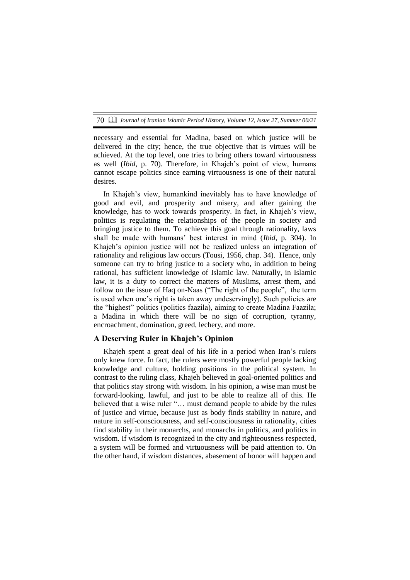necessary and essential for Madina, based on which justice will be delivered in the city; hence, the true objective that is virtues will be achieved. At the top level, one tries to bring others toward virtuousness as well (*Ibid*, p. 70). Therefore, in Khajeh's point of view, humans cannot escape politics since earning virtuousness is one of their natural desires.

In Khajeh's view, humankind inevitably has to have knowledge of good and evil, and prosperity and misery, and after gaining the knowledge, has to work towards prosperity. In fact, in Khajeh's view, politics is regulating the relationships of the people in society and bringing justice to them. To achieve this goal through rationality, laws shall be made with humans' best interest in mind (*Ibid,* p. 304). In Khajeh's opinion justice will not be realized unless an integration of rationality and religious law occurs (Tousi, 1956, chap. 34). Hence, only someone can try to bring justice to a society who, in addition to being rational, has sufficient knowledge of Islamic law. Naturally, in Islamic law, it is a duty to correct the matters of Muslims, arrest them, and follow on the issue of Haq on-Naas ("The right of the people", the term is used when one's right is taken away undeservingly). Such policies are the "highest" politics (politics faazila), aiming to create Madina Faazila; a Madina in which there will be no sign of corruption, tyranny, encroachment, domination, greed, lechery, and more.

#### **A Deserving Ruler in Khajeh's Opinion**

Khajeh spent a great deal of his life in a period when Iran's rulers only knew force. In fact, the rulers were mostly powerful people lacking knowledge and culture, holding positions in the political system. In contrast to the ruling class, Khajeh believed in goal-oriented politics and that politics stay strong with wisdom. In his opinion, a wise man must be forward-looking, lawful, and just to be able to realize all of this. He believed that a wise ruler "… must demand people to abide by the rules of justice and virtue, because just as body finds stability in nature, and nature in self-consciousness, and self-consciousness in rationality, cities find stability in their monarchs, and monarchs in politics, and politics in wisdom. If wisdom is recognized in the city and righteousness respected, a system will be formed and virtuousness will be paid attention to. On the other hand, if wisdom distances, abasement of honor will happen and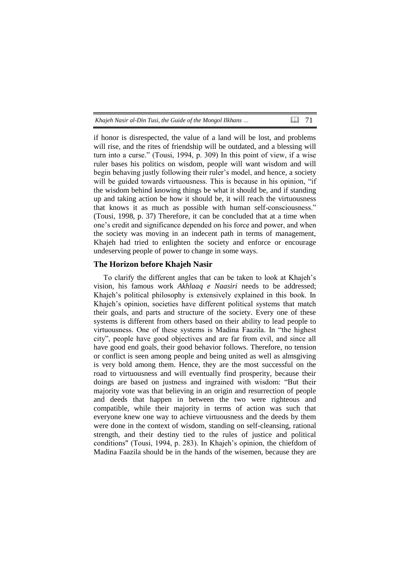| Khajeh Nasir al-Din Tusi, the Guide of the Mongol Ilkhans | $\Box$ 71 |  |
|-----------------------------------------------------------|-----------|--|
|-----------------------------------------------------------|-----------|--|

if honor is disrespected, the value of a land will be lost, and problems will rise, and the rites of friendship will be outdated, and a blessing will turn into a curse." (Tousi, 1994, p. 309) In this point of view, if a wise ruler bases his politics on wisdom, people will want wisdom and will begin behaving justly following their ruler's model, and hence, a society will be guided towards virtuousness. This is because in his opinion, "if the wisdom behind knowing things be what it should be, and if standing up and taking action be how it should be, it will reach the virtuousness that knows it as much as possible with human self-consciousness." (Tousi, 1998, p. 37) Therefore, it can be concluded that at a time when one's credit and significance depended on his force and power, and when the society was moving in an indecent path in terms of management, Khajeh had tried to enlighten the society and enforce or encourage undeserving people of power to change in some ways.

#### **The Horizon before Khajeh Nasir**

To clarify the different angles that can be taken to look at Khajeh's vision, his famous work *Akhlaaq e Naasiri* needs to be addressed; Khajeh's political philosophy is extensively explained in this book. In Khajeh's opinion, societies have different political systems that match their goals, and parts and structure of the society. Every one of these systems is different from others based on their ability to lead people to virtuousness. One of these systems is Madina Faazila. In "the highest city", people have good objectives and are far from evil, and since all have good end goals, their good behavior follows. Therefore, no tension or conflict is seen among people and being united as well as almsgiving is very bold among them. Hence, they are the most successful on the road to virtuousness and will eventually find prosperity, because their doings are based on justness and ingrained with wisdom: "But their majority vote was that believing in an origin and resurrection of people and deeds that happen in between the two were righteous and compatible, while their majority in terms of action was such that everyone knew one way to achieve virtuousness and the deeds by them were done in the context of wisdom, standing on self-cleansing, rational strength, and their destiny tied to the rules of justice and political conditions" (Tousi, 1994, p. 283). In Khajeh's opinion, the chiefdom of Madina Faazila should be in the hands of the wisemen, because they are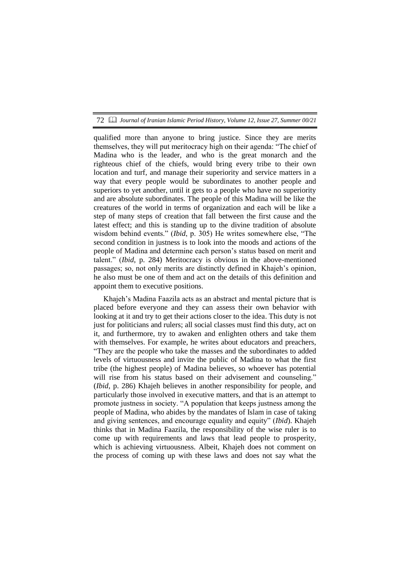qualified more than anyone to bring justice. Since they are merits themselves, they will put meritocracy high on their agenda: "The chief of Madina who is the leader, and who is the great monarch and the righteous chief of the chiefs, would bring every tribe to their own location and turf, and manage their superiority and service matters in a way that every people would be subordinates to another people and superiors to yet another, until it gets to a people who have no superiority and are absolute subordinates. The people of this Madina will be like the creatures of the world in terms of organization and each will be like a step of many steps of creation that fall between the first cause and the latest effect; and this is standing up to the divine tradition of absolute wisdom behind events." (*Ibid*, p. 305) He writes somewhere else, "The second condition in justness is to look into the moods and actions of the people of Madina and determine each person's status based on merit and talent." (*Ibid*, p. 284) Meritocracy is obvious in the above-mentioned passages; so, not only merits are distinctly defined in Khajeh's opinion, he also must be one of them and act on the details of this definition and appoint them to executive positions.

Khajeh's Madina Faazila acts as an abstract and mental picture that is placed before everyone and they can assess their own behavior with looking at it and try to get their actions closer to the idea. This duty is not just for politicians and rulers; all social classes must find this duty, act on it, and furthermore, try to awaken and enlighten others and take them with themselves. For example, he writes about educators and preachers, "They are the people who take the masses and the subordinates to added levels of virtuousness and invite the public of Madina to what the first tribe (the highest people) of Madina believes, so whoever has potential will rise from his status based on their advisement and counseling." (*Ibid*, p. 286) Khajeh believes in another responsibility for people, and particularly those involved in executive matters, and that is an attempt to promote justness in society. "A population that keeps justness among the people of Madina, who abides by the mandates of Islam in case of taking and giving sentences, and encourage equality and equity" (*Ibid*). Khajeh thinks that in Madina Faazila, the responsibility of the wise ruler is to come up with requirements and laws that lead people to prosperity, which is achieving virtuousness. Albeit, Khajeh does not comment on the process of coming up with these laws and does not say what the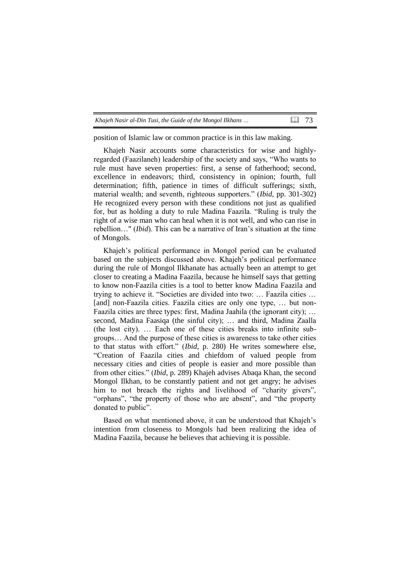| Khajeh Nasir al-Din Tusi, the Guide of the Mongol Ilkhans |  | $\Box$ 73 |  |
|-----------------------------------------------------------|--|-----------|--|
|-----------------------------------------------------------|--|-----------|--|

position of Islamic law or common practice is in this law making.

Khajeh Nasir accounts some characteristics for wise and highlyregarded (Faazilaneh) leadership of the society and says, "Who wants to rule must have seven properties: first, a sense of fatherhood; second, excellence in endeavors; third, consistency in opinion; fourth, full determination; fifth, patience in times of difficult sufferings; sixth, material wealth; and seventh, righteous supporters." (*Ibid*, pp. 301-302) He recognized every person with these conditions not just as qualified for, but as holding a duty to rule Madina Faazila. "Ruling is truly the right of a wise man who can heal when it is not well, and who can rise in rebellion…" (*Ibid*). This can be a narrative of Iran's situation at the time of Mongols.

Khajeh's political performance in Mongol period can be evaluated based on the subjects discussed above. Khajeh's political performance during the rule of Mongol Ilkhanate has actually been an attempt to get closer to creating a Madina Faazila, because he himself says that getting to know non-Faazila cities is a tool to better know Madina Faazila and trying to achieve it. "Societies are divided into two: … Faazila cities … [and] non-Faazila cities. Faazila cities are only one type, ... but non-Faazila cities are three types: first, Madina Jaahila (the ignorant city); … second, Madina Faasiqa (the sinful city); … and third, Madina Zaalla (the lost city). … Each one of these cities breaks into infinite subgroups… And the purpose of these cities is awareness to take other cities to that status with effort." (*Ibid*, p. 280) He writes somewhere else, "Creation of Faazila cities and chiefdom of valued people from necessary cities and cities of people is easier and more possible than from other cities." (*Ibid*, p. 289) Khajeh advises Abaqa Khan, the second Mongol Ilkhan, to be constantly patient and not get angry; he advises him to not breach the rights and livelihood of "charity givers", "orphans", "the property of those who are absent", and "the property donated to public".

Based on what mentioned above, it can be understood that Khajeh's intention from closeness to Mongols had been realizing the idea of Madina Faazila, because he believes that achieving it is possible.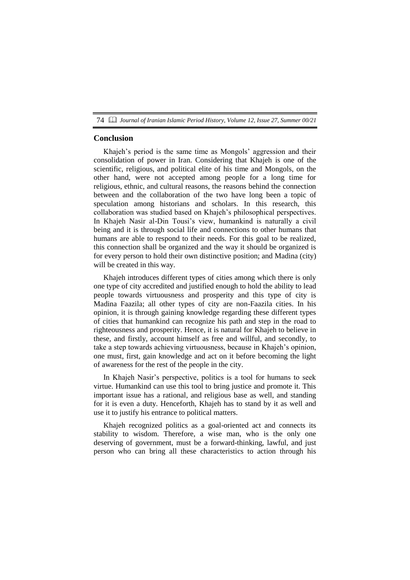#### **Conclusion**

Khajeh's period is the same time as Mongols' aggression and their consolidation of power in Iran. Considering that Khajeh is one of the scientific, religious, and political elite of his time and Mongols, on the other hand, were not accepted among people for a long time for religious, ethnic, and cultural reasons, the reasons behind the connection between and the collaboration of the two have long been a topic of speculation among historians and scholars. In this research, this collaboration was studied based on Khajeh's philosophical perspectives. In Khajeh Nasir al-Din Tousi's view, humankind is naturally a civil being and it is through social life and connections to other humans that humans are able to respond to their needs. For this goal to be realized, this connection shall be organized and the way it should be organized is for every person to hold their own distinctive position; and Madina (city) will be created in this way.

Khajeh introduces different types of cities among which there is only one type of city accredited and justified enough to hold the ability to lead people towards virtuousness and prosperity and this type of city is Madina Faazila; all other types of city are non-Faazila cities. In his opinion, it is through gaining knowledge regarding these different types of cities that humankind can recognize his path and step in the road to righteousness and prosperity. Hence, it is natural for Khajeh to believe in these, and firstly, account himself as free and willful, and secondly, to take a step towards achieving virtuousness, because in Khajeh's opinion, one must, first, gain knowledge and act on it before becoming the light of awareness for the rest of the people in the city.

In Khajeh Nasir's perspective, politics is a tool for humans to seek virtue. Humankind can use this tool to bring justice and promote it. This important issue has a rational, and religious base as well, and standing for it is even a duty. Henceforth, Khajeh has to stand by it as well and use it to justify his entrance to political matters.

Khajeh recognized politics as a goal-oriented act and connects its stability to wisdom. Therefore, a wise man, who is the only one deserving of government, must be a forward-thinking, lawful, and just person who can bring all these characteristics to action through his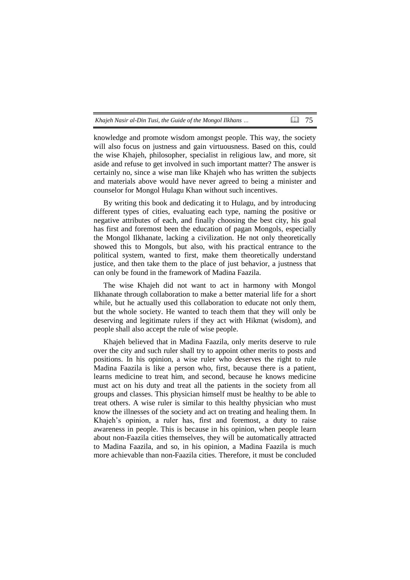| Khajeh Nasir al-Din Tusi, the Guide of the Mongol Ilkhans | Q 75 |  |
|-----------------------------------------------------------|------|--|
|-----------------------------------------------------------|------|--|

knowledge and promote wisdom amongst people. This way, the society will also focus on justness and gain virtuousness. Based on this, could the wise Khajeh, philosopher, specialist in religious law, and more, sit aside and refuse to get involved in such important matter? The answer is certainly no, since a wise man like Khajeh who has written the subjects and materials above would have never agreed to being a minister and counselor for Mongol Hulagu Khan without such incentives.

By writing this book and dedicating it to Hulagu, and by introducing different types of cities, evaluating each type, naming the positive or negative attributes of each, and finally choosing the best city, his goal has first and foremost been the education of pagan Mongols, especially the Mongol Ilkhanate, lacking a civilization. He not only theoretically showed this to Mongols, but also, with his practical entrance to the political system, wanted to first, make them theoretically understand justice, and then take them to the place of just behavior, a justness that can only be found in the framework of Madina Faazila.

The wise Khajeh did not want to act in harmony with Mongol Ilkhanate through collaboration to make a better material life for a short while, but he actually used this collaboration to educate not only them, but the whole society. He wanted to teach them that they will only be deserving and legitimate rulers if they act with Hikmat (wisdom), and people shall also accept the rule of wise people.

Khajeh believed that in Madina Faazila, only merits deserve to rule over the city and such ruler shall try to appoint other merits to posts and positions. In his opinion, a wise ruler who deserves the right to rule Madina Faazila is like a person who, first, because there is a patient, learns medicine to treat him, and second, because he knows medicine must act on his duty and treat all the patients in the society from all groups and classes. This physician himself must be healthy to be able to treat others. A wise ruler is similar to this healthy physician who must know the illnesses of the society and act on treating and healing them. In Khajeh's opinion, a ruler has, first and foremost, a duty to raise awareness in people. This is because in his opinion, when people learn about non-Faazila cities themselves, they will be automatically attracted to Madina Faazila, and so, in his opinion, a Madina Faazila is much more achievable than non-Faazila cities. Therefore, it must be concluded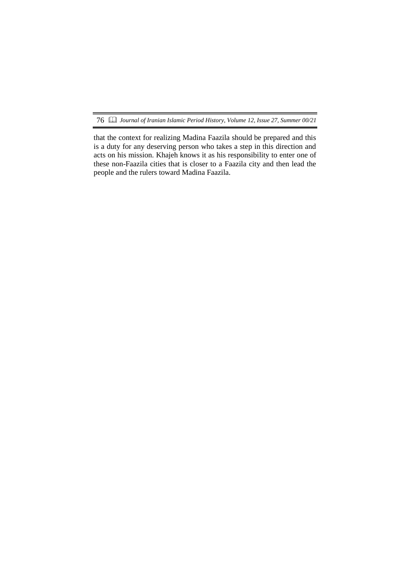that the context for realizing Madina Faazila should be prepared and this is a duty for any deserving person who takes a step in this direction and acts on his mission. Khajeh knows it as his responsibility to enter one of these non-Faazila cities that is closer to a Faazila city and then lead the people and the rulers toward Madina Faazila.